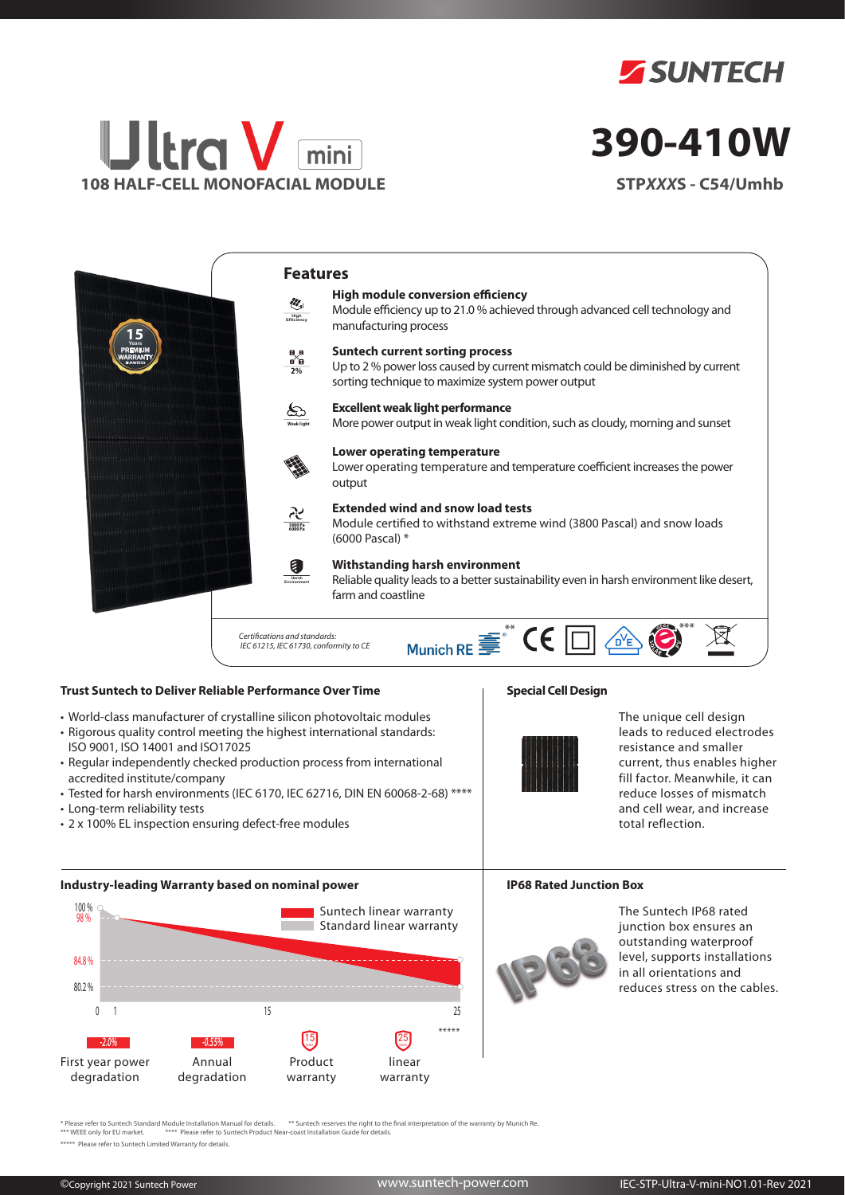



# **390-410W**

**STP***XXX***S - C54/Umhb**



# **Trust Suntech to Deliver Reliable Performance Over Time**

- World-class manufacturer of crystalline silicon photovoltaic modules
- Rigorous quality control meeting the highest international standards: ISO 9001, ISO 14001 and ISO17025
- Regular independently checked production process from international accredited institute/company
- Tested for harsh environments (IEC 6170, IEC 62716, DIN EN 60068-2-68) \*\*\*\*
- Long-term reliability tests
- 2 x 100% EL inspection ensuring defect-free modules

# **Special Cell Design**



The unique cell design leads to reduced electrodes resistance and smaller current, thus enables higher fill factor. Meanwhile, it can reduce losses of mismatch and cell wear, and increase total reflection.

#### **Industry-leading Warranty based on nominal power**



#### **IP68 Rated Junction Box**



The Suntech IP68 rated junction box ensures an .<br>outstanding waterproof level, supports installations in all orientations and reduces stress on the cables.

\* Please refer to Suntech Standard Module Installation Manual for details. \*\* Suntech reserves the right to the final interpretation of the warranty by Munich Re.<br>\*\*\* WEEE only for EU market. \*\*\*\* Please refer to Suntech P

\*\*\*\*\* Please refer to Suntech Limited Warranty for details